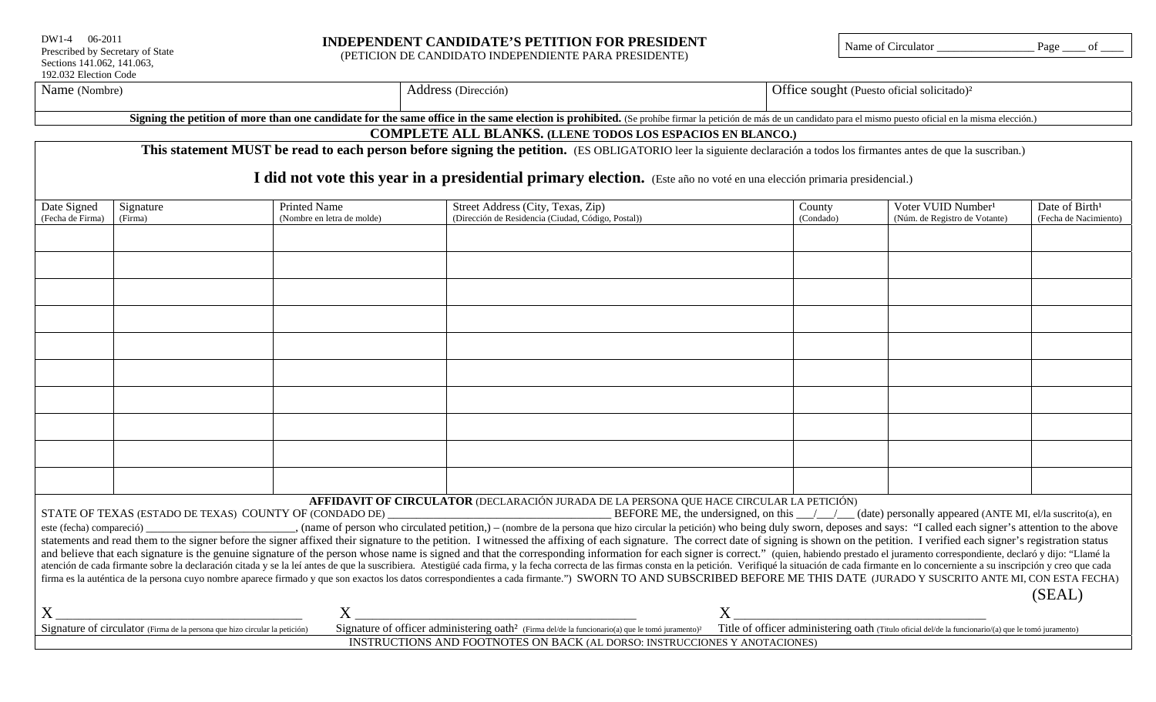| $DW1-4$ 06-2011                  |
|----------------------------------|
| Prescribed by Secretary of State |
| Sections 141.062, 141.063,       |
| 192.032 Election Code            |

# **INDEPENDENT CANDIDATE'S PETITION FOR PRESIDENT**

(PETICION DE CANDIDATO INDEPENDIENTE PARA PRESIDENTE)

Name of Circulator \_\_\_\_\_\_\_\_\_\_\_\_\_\_\_\_\_ Page \_\_\_\_ of \_\_\_\_

| Name (Nombre) |
|---------------|
|               |

| Address (Dirección) | Office sought (Puesto oficial solicitado) <sup>2</sup> |
|---------------------|--------------------------------------------------------|
|---------------------|--------------------------------------------------------|

Signing the petition of more than one candidate for the same office in the same election is prohibited. (Se prohíbe firmar la petición de más de un candidato para el mismo puesto oficial en la misma elección.)

# **COMPLETE ALL BLANKS. (LLENE TODOS LOS ESPACIOS EN BLANCO.)**

This statement MUST be read to each person before signing the petition. (ES OBLIGATORIO leer la siguiente declaración a todos los firmantes antes de que la suscriban.)

# I did not vote this year in a presidential primary election. (Este año no voté en una elección primaria presidencial.)

| Date Signed                                                                                                                                                                                                                                                                                                  | Signature | <b>Printed Name</b>        | Street Address (City, Texas, Zip)                                                                                                                                                         | County    | Voter VUID Number <sup>1</sup> | Date of Birth <sup>1</sup> |  |  |
|--------------------------------------------------------------------------------------------------------------------------------------------------------------------------------------------------------------------------------------------------------------------------------------------------------------|-----------|----------------------------|-------------------------------------------------------------------------------------------------------------------------------------------------------------------------------------------|-----------|--------------------------------|----------------------------|--|--|
| (Fecha de Firma)                                                                                                                                                                                                                                                                                             | (Firma)   | (Nombre en letra de molde) | (Dirección de Residencia (Ciudad, Código, Postal))                                                                                                                                        | (Condado) | (Núm. de Registro de Votante)  | (Fecha de Nacimiento)      |  |  |
|                                                                                                                                                                                                                                                                                                              |           |                            |                                                                                                                                                                                           |           |                                |                            |  |  |
|                                                                                                                                                                                                                                                                                                              |           |                            |                                                                                                                                                                                           |           |                                |                            |  |  |
|                                                                                                                                                                                                                                                                                                              |           |                            |                                                                                                                                                                                           |           |                                |                            |  |  |
|                                                                                                                                                                                                                                                                                                              |           |                            |                                                                                                                                                                                           |           |                                |                            |  |  |
|                                                                                                                                                                                                                                                                                                              |           |                            |                                                                                                                                                                                           |           |                                |                            |  |  |
|                                                                                                                                                                                                                                                                                                              |           |                            |                                                                                                                                                                                           |           |                                |                            |  |  |
|                                                                                                                                                                                                                                                                                                              |           |                            |                                                                                                                                                                                           |           |                                |                            |  |  |
|                                                                                                                                                                                                                                                                                                              |           |                            |                                                                                                                                                                                           |           |                                |                            |  |  |
|                                                                                                                                                                                                                                                                                                              |           |                            |                                                                                                                                                                                           |           |                                |                            |  |  |
|                                                                                                                                                                                                                                                                                                              |           |                            |                                                                                                                                                                                           |           |                                |                            |  |  |
|                                                                                                                                                                                                                                                                                                              |           |                            |                                                                                                                                                                                           |           |                                |                            |  |  |
|                                                                                                                                                                                                                                                                                                              |           |                            |                                                                                                                                                                                           |           |                                |                            |  |  |
|                                                                                                                                                                                                                                                                                                              |           |                            |                                                                                                                                                                                           |           |                                |                            |  |  |
|                                                                                                                                                                                                                                                                                                              |           |                            |                                                                                                                                                                                           |           |                                |                            |  |  |
|                                                                                                                                                                                                                                                                                                              |           |                            |                                                                                                                                                                                           |           |                                |                            |  |  |
|                                                                                                                                                                                                                                                                                                              |           |                            |                                                                                                                                                                                           |           |                                |                            |  |  |
|                                                                                                                                                                                                                                                                                                              |           |                            |                                                                                                                                                                                           |           |                                |                            |  |  |
|                                                                                                                                                                                                                                                                                                              |           |                            |                                                                                                                                                                                           |           |                                |                            |  |  |
|                                                                                                                                                                                                                                                                                                              |           |                            | AFFIDAVIT OF CIRCULATOR (DECLARACIÓN JURADA DE LA PERSONA QUE HACE CIRCULAR LA PETICIÓN)                                                                                                  |           |                                |                            |  |  |
| BEFORE ME, the undersigned, on this $\_\_\_\_\_\_\_\_$ (date) personally appeared (ANTE MI, el/la suscrito(a), en<br>STATE OF TEXAS (ESTADO DE TEXAS) COUNTY OF (CONDADO DE)                                                                                                                                 |           |                            |                                                                                                                                                                                           |           |                                |                            |  |  |
| este (fecha) compareció)                                                                                                                                                                                                                                                                                     |           |                            | , (name of person who circulated petition,) – (nombre de la persona que hizo circular la petición) who being duly sworn, deposes and says: "I called each signer's attention to the above |           |                                |                            |  |  |
| statements and read them to the signer before the signer affixed their signature to the petition. I witnessed the affixing of each signature. The correct date of signing is shown on the petition. I verified each signer's r                                                                               |           |                            |                                                                                                                                                                                           |           |                                |                            |  |  |
| and believe that each signature is the genuine signature of the person whose name is signed and that the corresponding information for each signer is correct." (quien, habiendo prestado el juramento correspondiente, declar                                                                               |           |                            |                                                                                                                                                                                           |           |                                |                            |  |  |
| atención de cada firmante sobre la declaración citada y se la leí antes de que la suscribiera. Atestigüé cada firma, y la fecha correcta de las firmas consta en la petición. Verifiqué la situación de cada firmante en lo co                                                                               |           |                            |                                                                                                                                                                                           |           |                                |                            |  |  |
| firma es la auténtica de la persona cuyo nombre aparece firmado y que son exactos los datos correspondientes a cada firmante.") SWORN TO AND SUBSCRIBED BEFORE ME THIS DATE (JURADO Y SUSCRITO ANTE MI, CON ESTA FECHA)                                                                                      |           |                            |                                                                                                                                                                                           |           |                                |                            |  |  |
|                                                                                                                                                                                                                                                                                                              |           |                            |                                                                                                                                                                                           |           |                                | (SEAL)                     |  |  |
| $\overline{X}$                                                                                                                                                                                                                                                                                               |           | $X_{-}$                    |                                                                                                                                                                                           |           |                                |                            |  |  |
|                                                                                                                                                                                                                                                                                                              |           |                            |                                                                                                                                                                                           |           |                                |                            |  |  |
| Signature of officer administering oath <sup>2</sup> (Firma del/de la funcionario(a) que le tomó juramento) <sup>2</sup> Title of officer administering oath (Titulo oficial del/de la funcionario/(a) que le tomó juramento)<br>Signature of circulator (Firma de la persona que hizo circular la petición) |           |                            |                                                                                                                                                                                           |           |                                |                            |  |  |
| INSTRUCTIONS AND FOOTNOTES ON BACK (AL DORSO: INSTRUCCIONES Y ANOTACIONES)                                                                                                                                                                                                                                   |           |                            |                                                                                                                                                                                           |           |                                |                            |  |  |